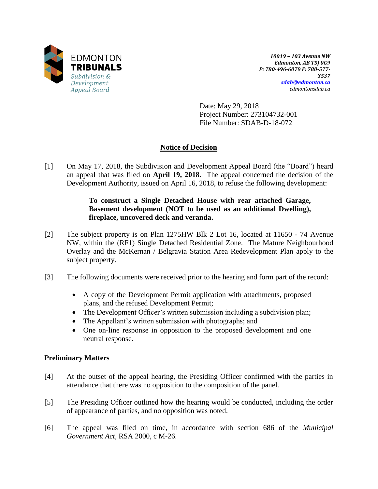

*10019 – 103 Avenue NW Edmonton, AB T5J 0G9 P: 780-496-6079 F: 780-577- 3537 [sdab@edmonton.ca](mailto:sdab@edmonton.ca) edmontonsdab.ca*

Date: May 29, 2018 Project Number: 273104732-001 File Number: SDAB-D-18-072

# **Notice of Decision**

[1] On May 17, 2018, the Subdivision and Development Appeal Board (the "Board") heard an appeal that was filed on **April 19, 2018**. The appeal concerned the decision of the Development Authority, issued on April 16, 2018, to refuse the following development:

### **To construct a Single Detached House with rear attached Garage, Basement development (NOT to be used as an additional Dwelling), fireplace, uncovered deck and veranda.**

- [2] The subject property is on Plan 1275HW Blk 2 Lot 16, located at 11650 74 Avenue NW, within the (RF1) Single Detached Residential Zone. The Mature Neighbourhood Overlay and the McKernan / Belgravia Station Area Redevelopment Plan apply to the subject property.
- [3] The following documents were received prior to the hearing and form part of the record:
	- A copy of the Development Permit application with attachments, proposed plans, and the refused Development Permit;
	- The Development Officer's written submission including a subdivision plan;
	- The Appellant's written submission with photographs; and
	- One on-line response in opposition to the proposed development and one neutral response.

### **Preliminary Matters**

- [4] At the outset of the appeal hearing, the Presiding Officer confirmed with the parties in attendance that there was no opposition to the composition of the panel.
- [5] The Presiding Officer outlined how the hearing would be conducted, including the order of appearance of parties, and no opposition was noted.
- [6] The appeal was filed on time, in accordance with section 686 of the *Municipal Government Act*, RSA 2000, c M-26.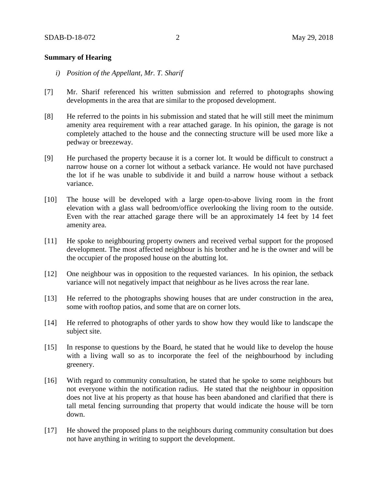#### **Summary of Hearing**

- *i) Position of the Appellant, Mr. T. Sharif*
- [7] Mr. Sharif referenced his written submission and referred to photographs showing developments in the area that are similar to the proposed development.
- [8] He referred to the points in his submission and stated that he will still meet the minimum amenity area requirement with a rear attached garage. In his opinion, the garage is not completely attached to the house and the connecting structure will be used more like a pedway or breezeway.
- [9] He purchased the property because it is a corner lot. It would be difficult to construct a narrow house on a corner lot without a setback variance. He would not have purchased the lot if he was unable to subdivide it and build a narrow house without a setback variance.
- [10] The house will be developed with a large open-to-above living room in the front elevation with a glass wall bedroom/office overlooking the living room to the outside. Even with the rear attached garage there will be an approximately 14 feet by 14 feet amenity area.
- [11] He spoke to neighbouring property owners and received verbal support for the proposed development. The most affected neighbour is his brother and he is the owner and will be the occupier of the proposed house on the abutting lot.
- [12] One neighbour was in opposition to the requested variances. In his opinion, the setback variance will not negatively impact that neighbour as he lives across the rear lane.
- [13] He referred to the photographs showing houses that are under construction in the area, some with rooftop patios, and some that are on corner lots.
- [14] He referred to photographs of other yards to show how they would like to landscape the subject site.
- [15] In response to questions by the Board, he stated that he would like to develop the house with a living wall so as to incorporate the feel of the neighbourhood by including greenery.
- [16] With regard to community consultation, he stated that he spoke to some neighbours but not everyone within the notification radius. He stated that the neighbour in opposition does not live at his property as that house has been abandoned and clarified that there is tall metal fencing surrounding that property that would indicate the house will be torn down.
- [17] He showed the proposed plans to the neighbours during community consultation but does not have anything in writing to support the development.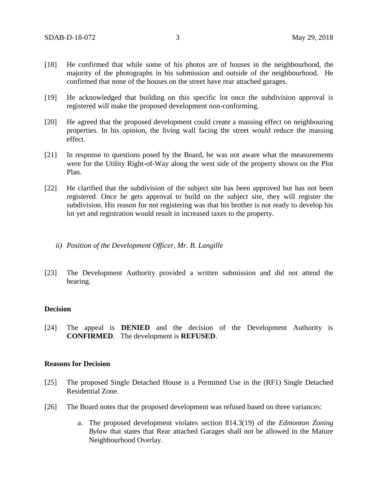- [18] He confirmed that while some of his photos are of houses in the neighbourhood, the majority of the photographs in his submission and outside of the neighbourhood. He confirmed that none of the houses on the street have rear attached garages.
- [19] He acknowledged that building on this specific lot once the subdivision approval is registered will make the proposed development non-conforming.
- [20] He agreed that the proposed development could create a massing effect on neighbouring properties. In his opinion, the living wall facing the street would reduce the massing effect.
- [21] In response to questions posed by the Board, he was not aware what the measurements were for the Utility Right-of-Way along the west side of the property shown on the Plot Plan.
- [22] He clarified that the subdivision of the subject site has been approved but has not been registered. Once he gets approval to build on the subject site, they will register the subdivision. His reason for not registering was that his brother is not ready to develop his lot yet and registration would result in increased taxes to the property.
	- *ii) Position of the Development Officer, Mr. B. Langille*
- [23] The Development Authority provided a written submission and did not attend the hearing.

#### **Decision**

[24] The appeal is **DENIED** and the decision of the Development Authority is **CONFIRMED**. The development is **REFUSED**.

#### **Reasons for Decision**

- [25] The proposed Single Detached House is a Permitted Use in the (RF1) Single Detached Residential Zone.
- [26] The Board notes that the proposed development was refused based on three variances:
	- a. The proposed development violates section 814.3(19) of the *Edmonton Zoning Bylaw* that states that Rear attached Garages shall not be allowed in the Mature Neighbourhood Overlay.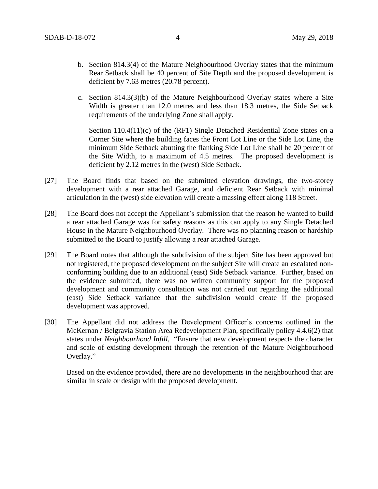- b. Section 814.3(4) of the Mature Neighbourhood Overlay states that the minimum Rear Setback shall be 40 percent of Site Depth and the proposed development is deficient by 7.63 metres (20.78 percent).
- c. Section 814.3(3)(b) of the Mature Neighbourhood Overlay states where a Site Width is greater than 12.0 metres and less than 18.3 metres, the Side Setback requirements of the underlying Zone shall apply.

Section 110.4(11)(c) of the (RF1) Single Detached Residential Zone states on a Corner Site where the building faces the Front Lot Line or the Side Lot Line, the minimum Side Setback abutting the flanking Side Lot Line shall be 20 percent of the Site Width, to a maximum of 4.5 metres. The proposed development is deficient by 2.12 metres in the (west) Side Setback.

- [27] The Board finds that based on the submitted elevation drawings, the two-storey development with a rear attached Garage, and deficient Rear Setback with minimal articulation in the (west) side elevation will create a massing effect along 118 Street.
- [28] The Board does not accept the Appellant's submission that the reason he wanted to build a rear attached Garage was for safety reasons as this can apply to any Single Detached House in the Mature Neighbourhood Overlay. There was no planning reason or hardship submitted to the Board to justify allowing a rear attached Garage.
- [29] The Board notes that although the subdivision of the subject Site has been approved but not registered, the proposed development on the subject Site will create an escalated nonconforming building due to an additional (east) Side Setback variance. Further, based on the evidence submitted, there was no written community support for the proposed development and community consultation was not carried out regarding the additional (east) Side Setback variance that the subdivision would create if the proposed development was approved.
- [30] The Appellant did not address the Development Officer's concerns outlined in the McKernan / Belgravia Station Area Redevelopment Plan, specifically policy 4.4.6(2) that states under *Neighbourhood Infill*, "Ensure that new development respects the character and scale of existing development through the retention of the Mature Neighbourhood Overlay."

Based on the evidence provided, there are no developments in the neighbourhood that are similar in scale or design with the proposed development.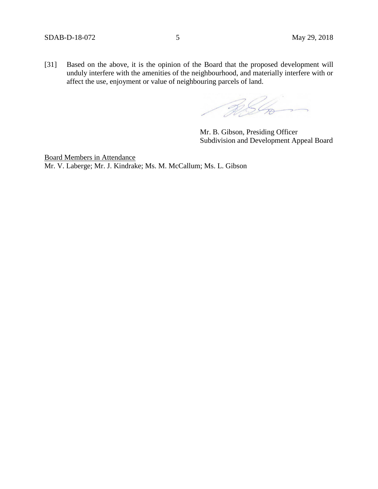[31] Based on the above, it is the opinion of the Board that the proposed development will unduly interfere with the amenities of the neighbourhood, and materially interfere with or affect the use, enjoyment or value of neighbouring parcels of land.

RSC

Mr. B. Gibson, Presiding Officer Subdivision and Development Appeal Board

Board Members in Attendance Mr. V. Laberge; Mr. J. Kindrake; Ms. M. McCallum; Ms. L. Gibson